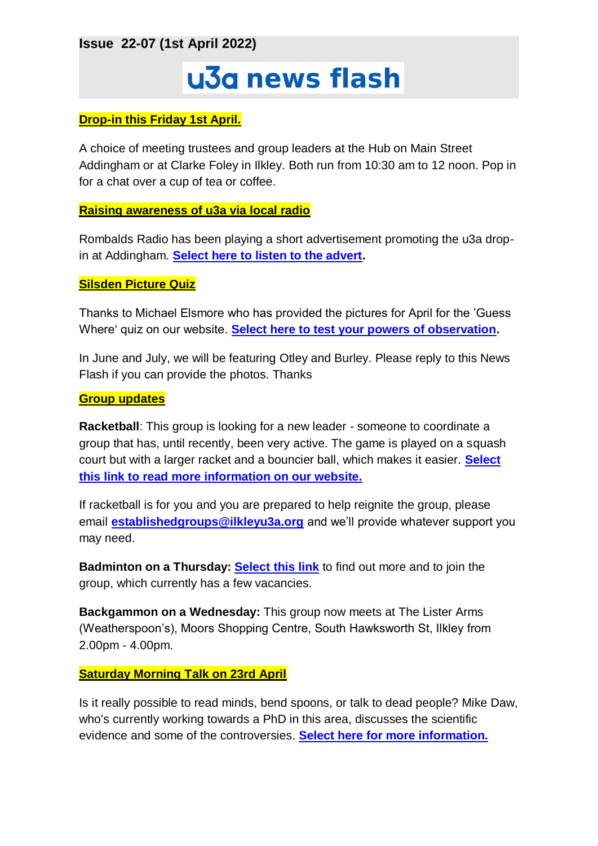**Issue 22-07 (1st April 2022)**

# u3a news flash

## **Drop-in this Friday 1st April.**

A choice of meeting trustees and group leaders at the Hub on Main Street Addingham or at Clarke Foley in Ilkley. Both run from 10:30 am to 12 noon. Pop in for a chat over a cup of tea or coffee.

#### **Raising awareness of u3a via local radio**

Rombalds Radio has been playing a short advertisement promoting the u3a dropin at Addingham. **[Select here to listen to the advert.](https://ilkleyu3a.org/Press-and-Media)**

#### **Silsden Picture Quiz**

Thanks to Michael Elsmore who has provided the pictures for April for the 'Guess Where' quiz on our website. **[Select here to test your powers of observation.](http://ilkleyu3a.org/#HQUIZ)**

In June and July, we will be featuring Otley and Burley. Please reply to this News Flash if you can provide the photos. Thanks

#### **Group updates**

**Racketball**: This group is looking for a new leader - someone to coordinate a group that has, until recently, been very active. The game is played on a squash court but with a larger racket and a bouncier ball, which makes it easier. **[Select](https://ilkleyu3a.org/Racketball-group)  [this link to read more information on our website.](https://ilkleyu3a.org/Racketball-group)**

If racketball is for you and you are prepared to help reignite the group, please email **[establishedgroups@ilkleyu3a.org](mailto:establishedgroups@ilkleyu3a.org)** and we'll provide whatever support you may need.

**Badminton on a Thursday: [Select this link](https://ilkleyu3a.org/Badminton-Thursday-group)** to find out more and to join the group, which currently has a few vacancies.

**Backgammon on a Wednesday:** This group now meets at The Lister Arms (Weatherspoon's), Moors Shopping Centre, South Hawksworth St, Ilkley from 2.00pm - 4.00pm.

#### **Saturday Morning Talk on 23rd April**

Is it really possible to read minds, bend spoons, or talk to dead people? Mike Daw, who's currently working towards a PhD in this area, discusses the scientific evidence and some of the controversies. **[Select here for more information.](https://ilkleyu3a.org/event-4756649)**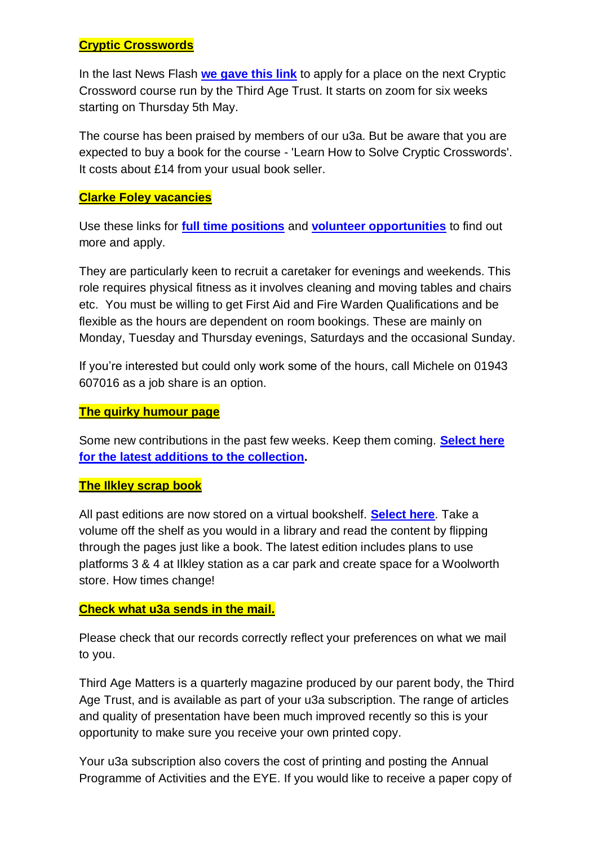## **Cryptic Crosswords**

In the last News Flash **[we gave this link](https://www.eventbrite.co.uk/e/cryptic-crosswords-for-beginners-mayjune-tickets-294439014017)** to apply for a place on the next Cryptic Crossword course run by the Third Age Trust. It starts on zoom for six weeks starting on Thursday 5th May.

The course has been praised by members of our u3a. But be aware that you are expected to buy a book for the course - 'Learn How to Solve Cryptic Crosswords'. It costs about £14 from your usual book seller.

## **Clarke Foley vacancies**

Use these links for **[full time positions](https://www.clarkefoley.org.uk/about/jobs)** and **[volunteer opportunities](https://www.clarkefoley.org.uk/support-us/volunteer)** to find out more and apply.

They are particularly keen to recruit a caretaker for evenings and weekends. This role requires physical fitness as it involves cleaning and moving tables and chairs etc. You must be willing to get First Aid and Fire Warden Qualifications and be flexible as the hours are dependent on room bookings. These are mainly on Monday, Tuesday and Thursday evenings, Saturdays and the occasional Sunday.

If you're interested but could only work some of the hours, call Michele on 01943 607016 as a job share is an option.

### **The quirky humour page**

Some new contributions in the past few weeks. Keep them coming. **[Select here](https://ilkleyu3a.org/Lockdown-Support-Quirky-Humour)  [for the latest additions to the collection.](https://ilkleyu3a.org/Lockdown-Support-Quirky-Humour)**

#### **The Ilkley scrap book**

All past editions are now stored on a virtual bookshelf. **[Select here](https://ilkleyu3a.org/resources/Documents/PDF-Flip/bookshelf-Scrapbooks.html)**. Take a volume off the shelf as you would in a library and read the content by flipping through the pages just like a book. The latest edition includes plans to use platforms 3 & 4 at Ilkley station as a car park and create space for a Woolworth store. How times change!

## **Check what u3a sends in the mail.**

Please check that our records correctly reflect your preferences on what we mail to you.

Third Age Matters is a quarterly magazine produced by our parent body, the Third Age Trust, and is available as part of your u3a subscription. The range of articles and quality of presentation have been much improved recently so this is your opportunity to make sure you receive your own printed copy.

Your u3a subscription also covers the cost of printing and posting the Annual Programme of Activities and the EYE. If you would like to receive a paper copy of